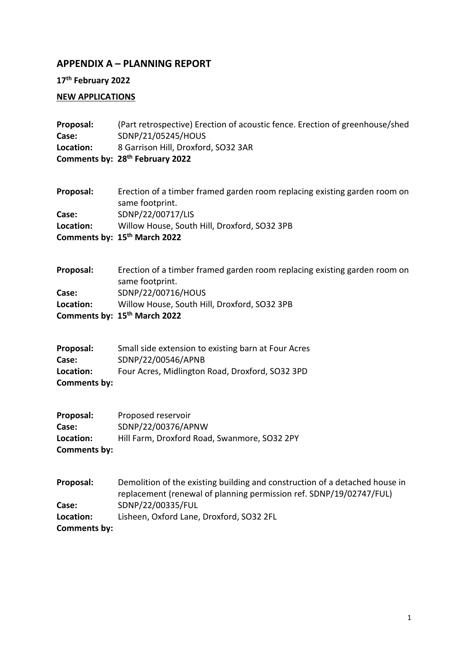## **APPENDIX A – PLANNING REPORT**

**17th February 2022**

### **NEW APPLICATIONS**

| Proposal:<br>Case:<br>Location:                 | (Part retrospective) Erection of acoustic fence. Erection of greenhouse/shed<br>SDNP/21/05245/HOUS<br>8 Garrison Hill, Droxford, SO32 3AR<br>Comments by: 28 <sup>th</sup> February 2022                            |
|-------------------------------------------------|---------------------------------------------------------------------------------------------------------------------------------------------------------------------------------------------------------------------|
| Proposal:<br>Case:<br>Location:                 | Erection of a timber framed garden room replacing existing garden room on<br>same footprint.<br>SDNP/22/00717/LIS<br>Willow House, South Hill, Droxford, SO32 3PB<br>Comments by: 15th March 2022                   |
| Proposal:<br>Case:<br>Location:                 | Erection of a timber framed garden room replacing existing garden room on<br>same footprint.<br>SDNP/22/00716/HOUS<br>Willow House, South Hill, Droxford, SO32 3PB<br>Comments by: 15 <sup>th</sup> March 2022      |
| Proposal:<br>Case:<br>Location:<br>Comments by: | Small side extension to existing barn at Four Acres<br>SDNP/22/00546/APNB<br>Four Acres, Midlington Road, Droxford, SO32 3PD                                                                                        |
| Proposal:<br>Case:<br>Location:<br>Comments by: | Proposed reservoir<br>SDNP/22/00376/APNW<br>Hill Farm, Droxford Road, Swanmore, SO32 2PY                                                                                                                            |
| Proposal:<br>Case:<br>Location:<br>Comments by: | Demolition of the existing building and construction of a detached house in<br>replacement (renewal of planning permission ref. SDNP/19/02747/FUL)<br>SDNP/22/00335/FUL<br>Lisheen, Oxford Lane, Droxford, SO32 2FL |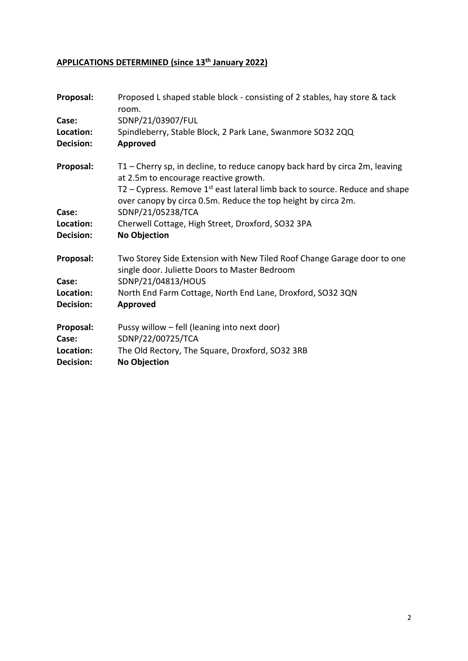# **APPLICATIONS DETERMINED (since 13th January 2022)**

| Proposal:              | Proposed L shaped stable block - consisting of 2 stables, hay store & tack<br>room.                                                              |
|------------------------|--------------------------------------------------------------------------------------------------------------------------------------------------|
| Case:                  | SDNP/21/03907/FUL                                                                                                                                |
| Location:              | Spindleberry, Stable Block, 2 Park Lane, Swanmore SO32 2QQ                                                                                       |
| Decision:              | Approved                                                                                                                                         |
| Proposal:              | T1 – Cherry sp, in decline, to reduce canopy back hard by circa 2m, leaving<br>at 2.5m to encourage reactive growth.                             |
|                        | $T2$ – Cypress. Remove $1st$ east lateral limb back to source. Reduce and shape<br>over canopy by circa 0.5m. Reduce the top height by circa 2m. |
| Case:                  | SDNP/21/05238/TCA                                                                                                                                |
| Location:              | Cherwell Cottage, High Street, Droxford, SO32 3PA                                                                                                |
| Decision:              | <b>No Objection</b>                                                                                                                              |
| Proposal:              | Two Storey Side Extension with New Tiled Roof Change Garage door to one                                                                          |
|                        | single door. Juliette Doors to Master Bedroom                                                                                                    |
| Case:                  | SDNP/21/04813/HOUS                                                                                                                               |
| Location:              | North End Farm Cottage, North End Lane, Droxford, SO32 3QN                                                                                       |
| Decision:              | Approved                                                                                                                                         |
| Proposal:              | Pussy willow - fell (leaning into next door)                                                                                                     |
| Case:                  | SDNP/22/00725/TCA                                                                                                                                |
| Location:<br>Decision: | The Old Rectory, The Square, Droxford, SO32 3RB<br><b>No Objection</b>                                                                           |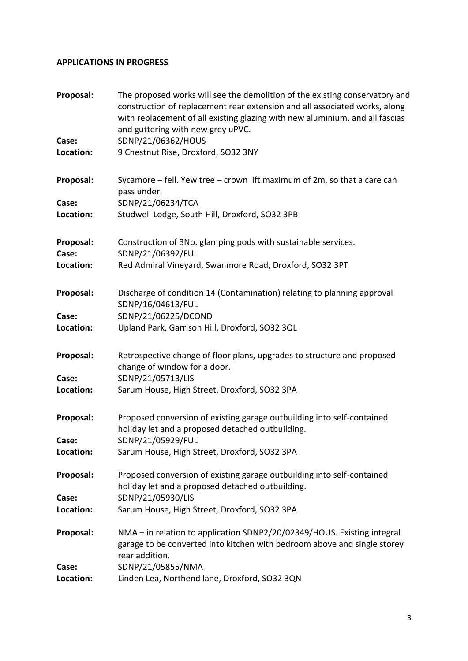### **APPLICATIONS IN PROGRESS**

| Proposal:<br>Case:<br>Location: | The proposed works will see the demolition of the existing conservatory and<br>construction of replacement rear extension and all associated works, along<br>with replacement of all existing glazing with new aluminium, and all fascias<br>and guttering with new grey uPVC.<br>SDNP/21/06362/HOUS |
|---------------------------------|------------------------------------------------------------------------------------------------------------------------------------------------------------------------------------------------------------------------------------------------------------------------------------------------------|
|                                 | 9 Chestnut Rise, Droxford, SO32 3NY                                                                                                                                                                                                                                                                  |
| Proposal:                       | Sycamore $-$ fell. Yew tree $-$ crown lift maximum of 2m, so that a care can<br>pass under.                                                                                                                                                                                                          |
| Case:<br>Location:              | SDNP/21/06234/TCA<br>Studwell Lodge, South Hill, Droxford, SO32 3PB                                                                                                                                                                                                                                  |
| Proposal:<br>Case:              | Construction of 3No. glamping pods with sustainable services.<br>SDNP/21/06392/FUL                                                                                                                                                                                                                   |
| Location:                       | Red Admiral Vineyard, Swanmore Road, Droxford, SO32 3PT                                                                                                                                                                                                                                              |
| Proposal:                       | Discharge of condition 14 (Contamination) relating to planning approval<br>SDNP/16/04613/FUL                                                                                                                                                                                                         |
| Case:<br>Location:              | SDNP/21/06225/DCOND<br>Upland Park, Garrison Hill, Droxford, SO32 3QL                                                                                                                                                                                                                                |
| Proposal:                       | Retrospective change of floor plans, upgrades to structure and proposed<br>change of window for a door.                                                                                                                                                                                              |
| Case:                           | SDNP/21/05713/LIS                                                                                                                                                                                                                                                                                    |
| Location:                       | Sarum House, High Street, Droxford, SO32 3PA                                                                                                                                                                                                                                                         |
| Proposal:                       | Proposed conversion of existing garage outbuilding into self-contained<br>holiday let and a proposed detached outbuilding.                                                                                                                                                                           |
| Case:                           | SDNP/21/05929/FUL                                                                                                                                                                                                                                                                                    |
| Location:                       | Sarum House, High Street, Droxford, SO32 3PA                                                                                                                                                                                                                                                         |
| Proposal:                       | Proposed conversion of existing garage outbuilding into self-contained<br>holiday let and a proposed detached outbuilding.                                                                                                                                                                           |
| Case:                           | SDNP/21/05930/LIS                                                                                                                                                                                                                                                                                    |
| Location:                       | Sarum House, High Street, Droxford, SO32 3PA                                                                                                                                                                                                                                                         |
| Proposal:                       | NMA - in relation to application SDNP2/20/02349/HOUS. Existing integral<br>garage to be converted into kitchen with bedroom above and single storey<br>rear addition.                                                                                                                                |
| Case:                           | SDNP/21/05855/NMA                                                                                                                                                                                                                                                                                    |
| Location:                       | Linden Lea, Northend lane, Droxford, SO32 3QN                                                                                                                                                                                                                                                        |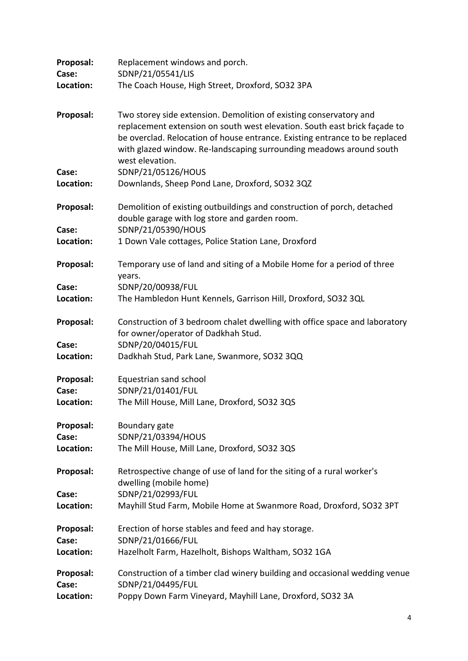| Proposal:          | Replacement windows and porch.                                                                                                                                                                                                                                                                                           |
|--------------------|--------------------------------------------------------------------------------------------------------------------------------------------------------------------------------------------------------------------------------------------------------------------------------------------------------------------------|
| Case:<br>Location: | SDNP/21/05541/LIS<br>The Coach House, High Street, Droxford, SO32 3PA                                                                                                                                                                                                                                                    |
|                    |                                                                                                                                                                                                                                                                                                                          |
| Proposal:          | Two storey side extension. Demolition of existing conservatory and<br>replacement extension on south west elevation. South east brick façade to<br>be overclad. Relocation of house entrance. Existing entrance to be replaced<br>with glazed window. Re-landscaping surrounding meadows around south<br>west elevation. |
| Case:              | SDNP/21/05126/HOUS                                                                                                                                                                                                                                                                                                       |
| Location:          | Downlands, Sheep Pond Lane, Droxford, SO32 3QZ                                                                                                                                                                                                                                                                           |
| Proposal:          | Demolition of existing outbuildings and construction of porch, detached<br>double garage with log store and garden room.                                                                                                                                                                                                 |
| Case:              | SDNP/21/05390/HOUS                                                                                                                                                                                                                                                                                                       |
| Location:          | 1 Down Vale cottages, Police Station Lane, Droxford                                                                                                                                                                                                                                                                      |
| Proposal:          | Temporary use of land and siting of a Mobile Home for a period of three<br>years.                                                                                                                                                                                                                                        |
| Case:              | SDNP/20/00938/FUL                                                                                                                                                                                                                                                                                                        |
| Location:          | The Hambledon Hunt Kennels, Garrison Hill, Droxford, SO32 3QL                                                                                                                                                                                                                                                            |
| Proposal:          | Construction of 3 bedroom chalet dwelling with office space and laboratory<br>for owner/operator of Dadkhah Stud.                                                                                                                                                                                                        |
| Case:              | SDNP/20/04015/FUL                                                                                                                                                                                                                                                                                                        |
| Location:          | Dadkhah Stud, Park Lane, Swanmore, SO32 3QQ                                                                                                                                                                                                                                                                              |
| Proposal:          | Equestrian sand school                                                                                                                                                                                                                                                                                                   |
| Case:              | SDNP/21/01401/FUL                                                                                                                                                                                                                                                                                                        |
| Location:          | The Mill House, Mill Lane, Droxford, SO32 3QS                                                                                                                                                                                                                                                                            |
| Proposal:          | Boundary gate                                                                                                                                                                                                                                                                                                            |
| Case:              | SDNP/21/03394/HOUS                                                                                                                                                                                                                                                                                                       |
| Location:          | The Mill House, Mill Lane, Droxford, SO32 3QS                                                                                                                                                                                                                                                                            |
| Proposal:          | Retrospective change of use of land for the siting of a rural worker's<br>dwelling (mobile home)                                                                                                                                                                                                                         |
| Case:              | SDNP/21/02993/FUL                                                                                                                                                                                                                                                                                                        |
| Location:          | Mayhill Stud Farm, Mobile Home at Swanmore Road, Droxford, SO32 3PT                                                                                                                                                                                                                                                      |
| Proposal:          | Erection of horse stables and feed and hay storage.                                                                                                                                                                                                                                                                      |
| Case:              | SDNP/21/01666/FUL                                                                                                                                                                                                                                                                                                        |
| Location:          | Hazelholt Farm, Hazelholt, Bishops Waltham, SO32 1GA                                                                                                                                                                                                                                                                     |
| Proposal:<br>Case: | Construction of a timber clad winery building and occasional wedding venue<br>SDNP/21/04495/FUL                                                                                                                                                                                                                          |
| Location:          | Poppy Down Farm Vineyard, Mayhill Lane, Droxford, SO32 3A                                                                                                                                                                                                                                                                |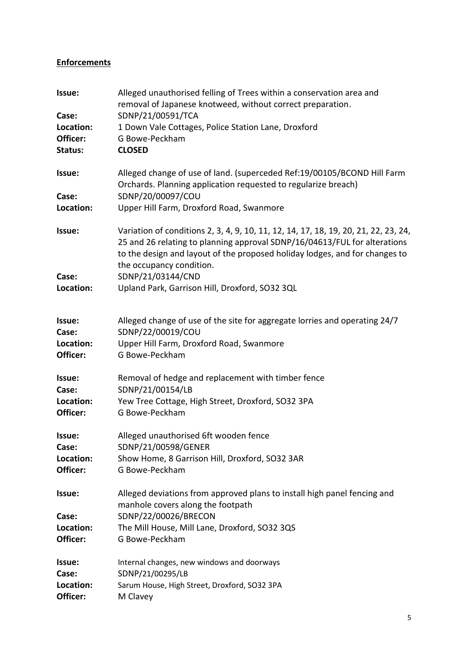#### **Enforcements**

| Issue:<br>Case:       | Alleged unauthorised felling of Trees within a conservation area and<br>removal of Japanese knotweed, without correct preparation.<br>SDNP/21/00591/TCA                                                                                                                     |
|-----------------------|-----------------------------------------------------------------------------------------------------------------------------------------------------------------------------------------------------------------------------------------------------------------------------|
| Location:             | 1 Down Vale Cottages, Police Station Lane, Droxford                                                                                                                                                                                                                         |
| Officer:              | G Bowe-Peckham                                                                                                                                                                                                                                                              |
| Status:               | <b>CLOSED</b>                                                                                                                                                                                                                                                               |
| Issue:                | Alleged change of use of land. (superceded Ref: 19/00105/BCOND Hill Farm<br>Orchards. Planning application requested to regularize breach)                                                                                                                                  |
| Case:<br>Location:    | SDNP/20/00097/COU<br>Upper Hill Farm, Droxford Road, Swanmore                                                                                                                                                                                                               |
| Issue:                | Variation of conditions 2, 3, 4, 9, 10, 11, 12, 14, 17, 18, 19, 20, 21, 22, 23, 24,<br>25 and 26 relating to planning approval SDNP/16/04613/FUL for alterations<br>to the design and layout of the proposed holiday lodges, and for changes to<br>the occupancy condition. |
| Case:<br>Location:    | SDNP/21/03144/CND<br>Upland Park, Garrison Hill, Droxford, SO32 3QL                                                                                                                                                                                                         |
|                       |                                                                                                                                                                                                                                                                             |
| Issue:                | Alleged change of use of the site for aggregate lorries and operating 24/7                                                                                                                                                                                                  |
| Case:                 | SDNP/22/00019/COU                                                                                                                                                                                                                                                           |
| Location:<br>Officer: | Upper Hill Farm, Droxford Road, Swanmore<br>G Bowe-Peckham                                                                                                                                                                                                                  |
| Issue:<br>Case:       | Removal of hedge and replacement with timber fence<br>SDNP/21/00154/LB                                                                                                                                                                                                      |
| Location:             | Yew Tree Cottage, High Street, Droxford, SO32 3PA                                                                                                                                                                                                                           |
| Officer:              | G Bowe-Peckham                                                                                                                                                                                                                                                              |
| Issue:                | Alleged unauthorised 6ft wooden fence                                                                                                                                                                                                                                       |
| Case:<br>Location:    | SDNP/21/00598/GENER<br>Show Home, 8 Garrison Hill, Droxford, SO32 3AR                                                                                                                                                                                                       |
| Officer:              | G Bowe-Peckham                                                                                                                                                                                                                                                              |
| Issue:                | Alleged deviations from approved plans to install high panel fencing and<br>manhole covers along the footpath                                                                                                                                                               |
| Case:                 | SDNP/22/00026/BRECON                                                                                                                                                                                                                                                        |
| Location:             | The Mill House, Mill Lane, Droxford, SO32 3QS                                                                                                                                                                                                                               |
| Officer:              | G Bowe-Peckham                                                                                                                                                                                                                                                              |
| Issue:                | Internal changes, new windows and doorways                                                                                                                                                                                                                                  |
| Case:                 | SDNP/21/00295/LB                                                                                                                                                                                                                                                            |
| Location:<br>Officer: | Sarum House, High Street, Droxford, SO32 3PA<br>M Clavey                                                                                                                                                                                                                    |
|                       |                                                                                                                                                                                                                                                                             |